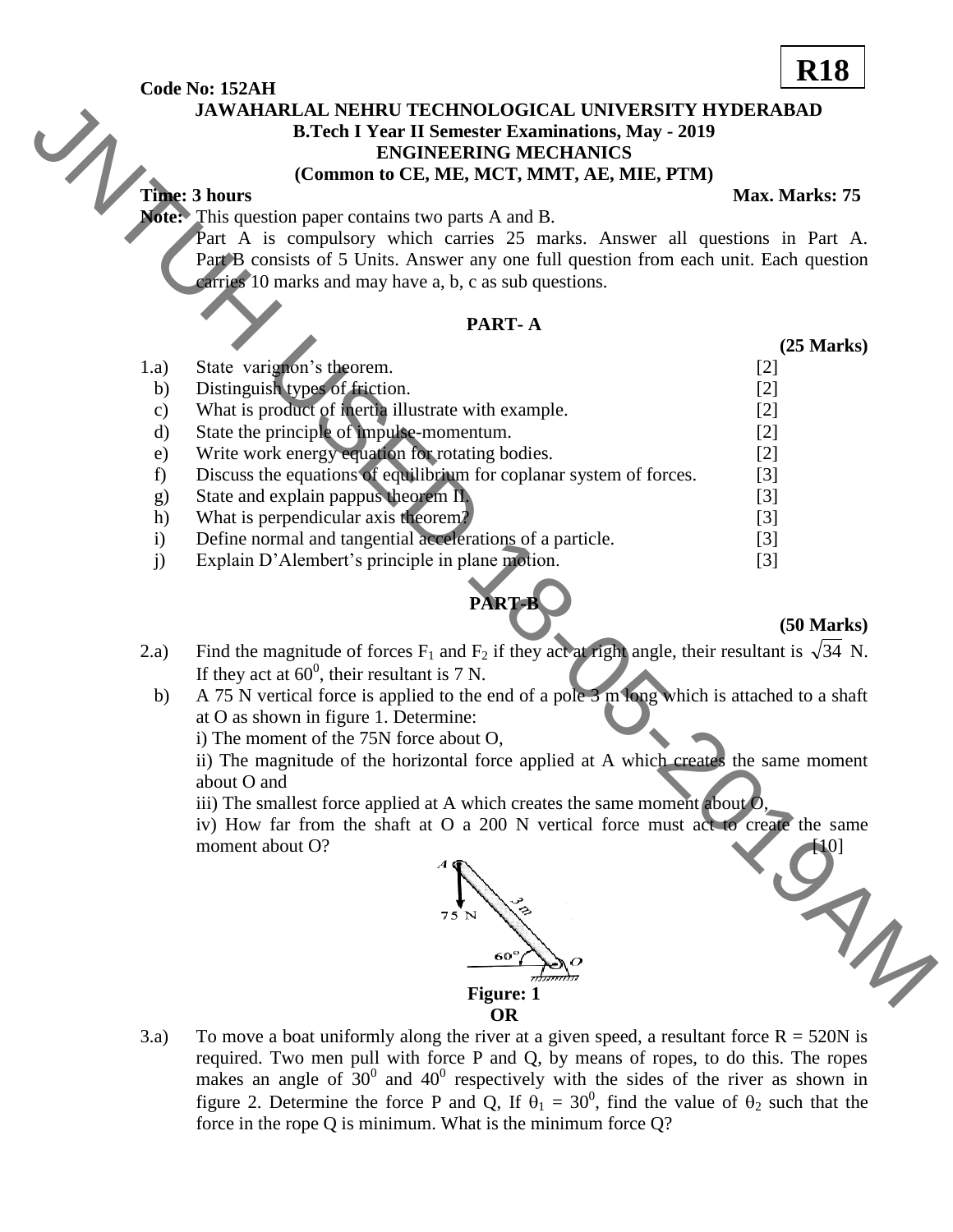#### **Code No: 152AH**

#### **JAWAHARLAL NEHRU TECHNOLOGICAL UNIVERSITY HYDERABAD B.Tech I Year II Semester Examinations, May - 2019 ENGINEERING MECHANICS**

#### **(Common to CE, ME, MCT, MMT, AE, MIE, PTM)**

### **Time: 3 hours** Max. Marks: 75

#### **PART- A**

|                    | <b>JAWAHARLAL NEHRU TECHNOLOGICAL UNIVERSITY HYDERABAD</b>                                                                     |  |
|--------------------|--------------------------------------------------------------------------------------------------------------------------------|--|
|                    | <b>B.Tech I Year II Semester Examinations, May - 2019</b>                                                                      |  |
|                    | <b>ENGINEERING MECHANICS</b>                                                                                                   |  |
|                    | (Common to CE, ME, MCT, MMT, AE, MIE, PTM)                                                                                     |  |
|                    | <b>Time: 3 hours</b><br>Max. Marks: 75                                                                                         |  |
|                    | <b>Note:</b> This question paper contains two parts A and B.                                                                   |  |
|                    | Part A is compulsory which carries 25 marks. Answer all questions in Part A.                                                   |  |
|                    | Part B consists of 5 Units. Answer any one full question from each unit. Each question                                         |  |
|                    | carries 10 marks and may have a, b, c as sub questions.                                                                        |  |
|                    |                                                                                                                                |  |
|                    | PART-A                                                                                                                         |  |
|                    | $(25$ Marks $)$                                                                                                                |  |
| 1.a)               | State varignon's theorem.<br>$[2]$                                                                                             |  |
| b)                 | Distinguish types of friction.<br>$[2]$                                                                                        |  |
| c)                 | What is product of inertia illustrate with example.<br>$[2]$                                                                   |  |
| d)                 | State the principle of impulse-momentum.<br>$[2]$                                                                              |  |
| e)                 | Write work energy equation for rotating bodies.<br>$[2]$                                                                       |  |
| f)                 | Discuss the equations of equilibrium for coplanar system of forces.<br>$[3]$                                                   |  |
| g)                 | State and explain pappus theorem II.<br>$[3]$                                                                                  |  |
| h)                 | What is perpendicular axis theorem?<br>$[3]$                                                                                   |  |
| $\mathbf{i}$<br>j) | Define normal and tangential accelerations of a particle.<br>$[3]$<br>Explain D'Alembert's principle in plane motion.<br>$[3]$ |  |
|                    |                                                                                                                                |  |
|                    | PART-B                                                                                                                         |  |
|                    | $(50$ Marks)                                                                                                                   |  |
| 2.a)               | Find the magnitude of forces $F_1$ and $F_2$ if they act at right angle, their resultant is $\sqrt{34}$ N.                     |  |
|                    | If they act at $60^0$ , their resultant is 7 N.                                                                                |  |
| b)                 | A 75 N vertical force is applied to the end of a pole 3 m long which is attached to a shaft                                    |  |
|                    | at O as shown in figure 1. Determine:                                                                                          |  |
|                    | i) The moment of the 75N force about O,                                                                                        |  |
|                    | ii) The magnitude of the horizontal force applied at A which creates the same moment                                           |  |
|                    | about O and                                                                                                                    |  |
|                    | iii) The smallest force applied at A which creates the same moment about $Q$ ,                                                 |  |
|                    | iv) How far from the shaft at O a 200 N vertical force must act to create the same                                             |  |
|                    | moment about O?                                                                                                                |  |
|                    |                                                                                                                                |  |
|                    |                                                                                                                                |  |
|                    | $75$ N                                                                                                                         |  |
|                    |                                                                                                                                |  |
|                    | $60^\circ$                                                                                                                     |  |
|                    | <b>Figure: 1</b>                                                                                                               |  |
|                    |                                                                                                                                |  |

## **PART-B**

#### **(50 Marks)**

- 2.a) Find the magnitude of forces  $F_1$  and  $F_2$  if they act at right angle, their resultant is  $\sqrt{34}$  N. If they act at  $60^0$ , their resultant is 7 N.
	- b) A 75 N vertical force is applied to the end of a pole 3 m long which is attached to a shaft at O as shown in figure 1. Determine:



3.a) To move a boat uniformly along the river at a given speed, a resultant force  $R = 520N$  is required. Two men pull with force P and Q, by means of ropes, to do this. The ropes makes an angle of  $30^0$  and  $40^0$  respectively with the sides of the river as shown in figure 2. Determine the force P and Q, If  $\theta_1 = 30^0$ , find the value of  $\theta_2$  such that the force in the rope Q is minimum. What is the minimum force Q?

# **R18**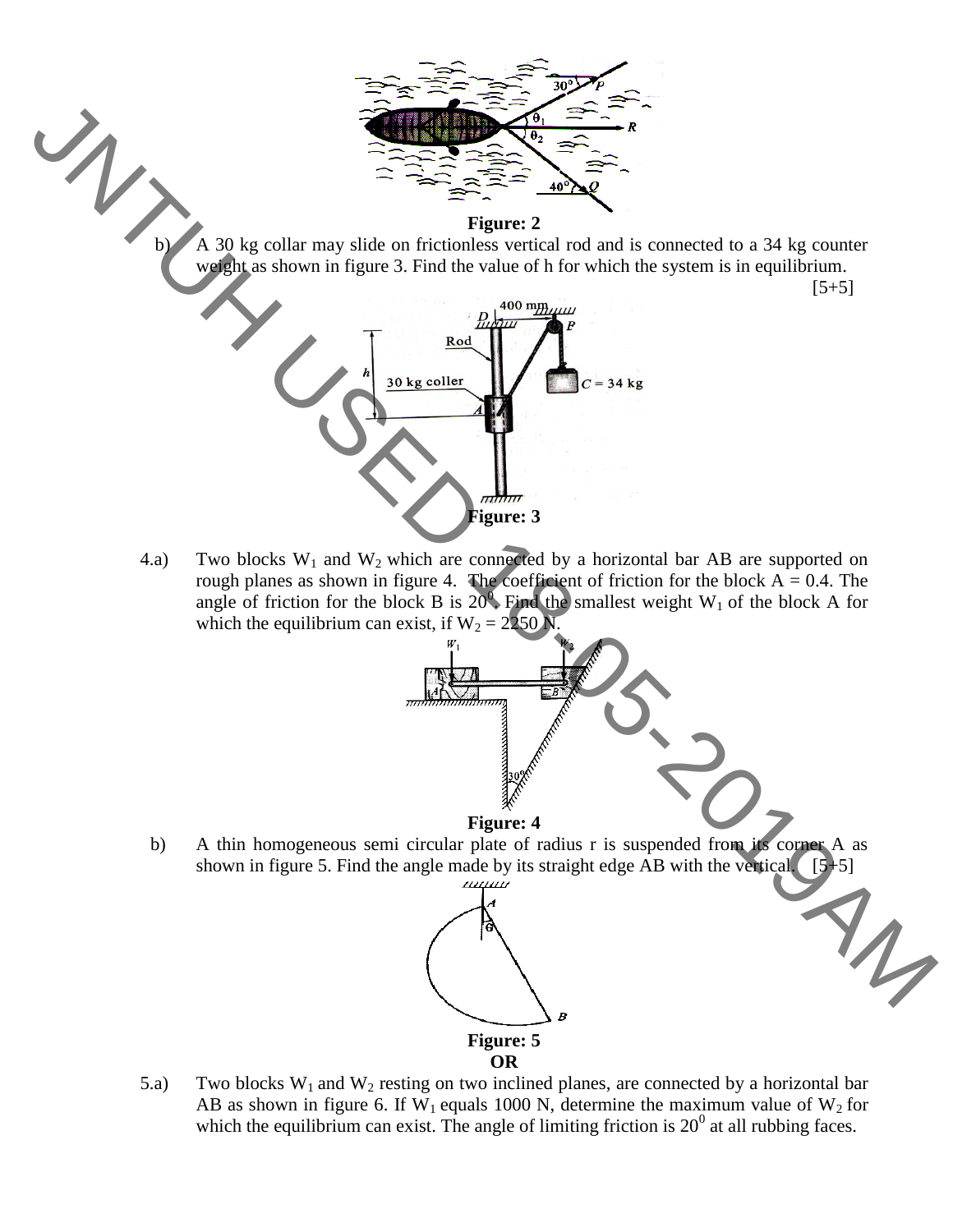

4.a) Two blocks  $W_1$  and  $W_2$  which are connected by a horizontal bar AB are supported on rough planes as shown in figure 4. The coefficient of friction for the block  $A = 0.4$ . The angle of friction for the block B is  $20^{\circ}$ . Find the smallest weight W<sub>1</sub> of the block A for which the equilibrium can exist, if  $W_2 = 2250$  N



 b) A thin homogeneous semi circular plate of radius r is suspended from its corner A as shown in figure 5. Find the angle made by its straight edge AB with the vertical.  $[5+5]$ 



5.a) Two blocks  $W_1$  and  $W_2$  resting on two inclined planes, are connected by a horizontal bar AB as shown in figure 6. If W<sub>1</sub> equals 1000 N, determine the maximum value of W<sub>2</sub> for which the equilibrium can exist. The angle of limiting friction is  $20^{\circ}$  at all rubbing faces.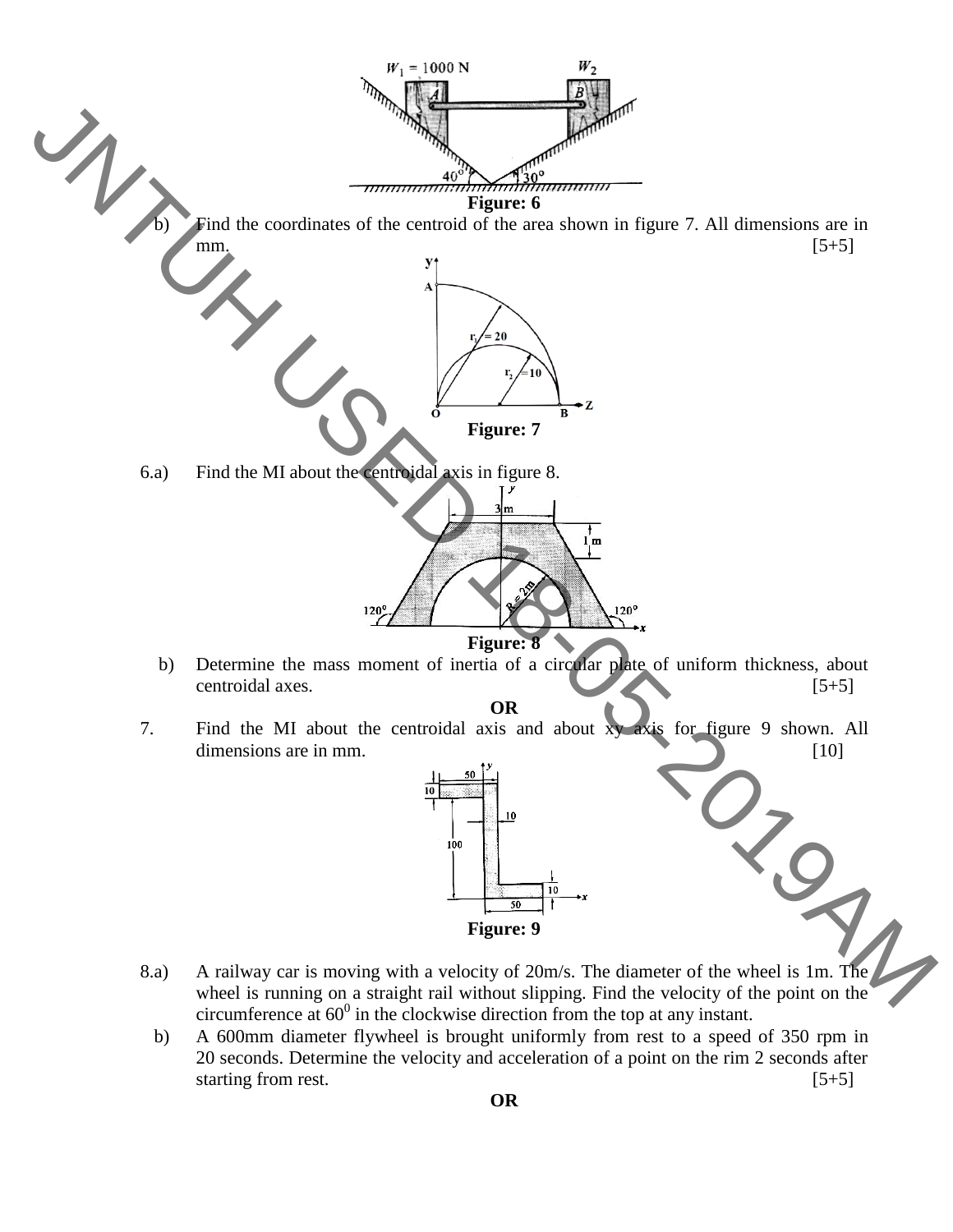

**Figure: 9**

- 8.a) A railway car is moving with a velocity of 20m/s. The diameter of the wheel is 1m. The wheel is running on a straight rail without slipping. Find the velocity of the point on the circumference at  $60^0$  in the clockwise direction from the top at any instant.
	- b) A 600mm diameter flywheel is brought uniformly from rest to a speed of 350 rpm in 20 seconds. Determine the velocity and acceleration of a point on the rim 2 seconds after starting from rest. [5+5]